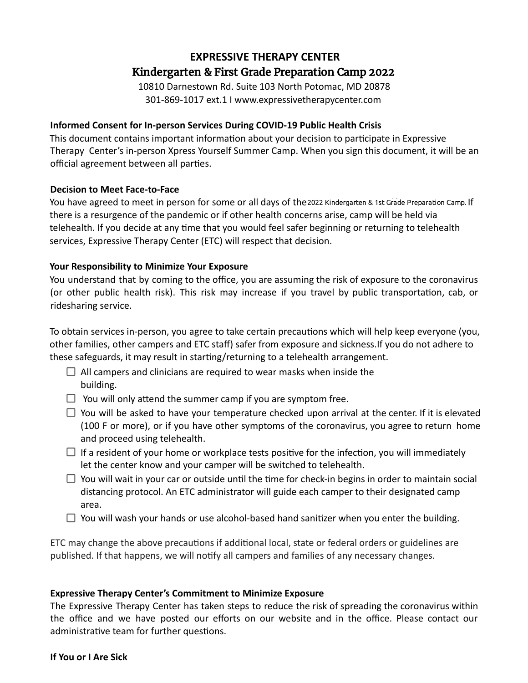# **EXPRESSIVE THERAPY CENTER Xpress Yourself Summer Camp 2022** Kindergarten & First Grade Preparation Camp 2022

10810 Darnestown Rd. Suite 103 North Potomac, MD 20878 301-869-1017 ext.1 I www.expressivetherapycenter.com

## **Informed Consent for In-person Services During COVID-19 Public Health Crisis**

This document contains important information about your decision to participate in Expressive Therapy Center's in-person Xpress Yourself Summer Camp. When you sign this document, it will be an official agreement between all parties.

#### **Decision to Meet Face-to-Face**

You have agreed to meet in person for some or all days of the 2022 Kindergarten & 1st Grade Preparation Camp. If there is a resurgence of the pandemic or if other health concerns arise, camp will be held via telehealth. If you decide at any time that you would feel safer beginning or returning to telehealth services, Expressive Therapy Center (ETC) will respect that decision.

### **Your Responsibility to Minimize Your Exposure**

You understand that by coming to the office, you are assuming the risk of exposure to the coronavirus (or other public health risk). This risk may increase if you travel by public transportation, cab, or ridesharing service.

To obtain services in-person, you agree to take certain precautions which will help keep everyone (you, other families, other campers and ETC staff) safer from exposure and sickness.If you do not adhere to these safeguards, it may result in starting/returning to a telehealth arrangement.

- $\Box$  All campers and clinicians are required to wear masks when inside the building.
- $\Box$  You will only attend the summer camp if you are symptom free.
- $\Box$  You will be asked to have your temperature checked upon arrival at the center. If it is elevated (100 F or more), or if you have other symptoms of the coronavirus, you agree to return home and proceed using telehealth.
- $\Box$  If a resident of your home or workplace tests positive for the infection, you will immediately let the center know and your camper will be switched to telehealth.
- $\Box$  You will wait in your car or outside until the time for check-in begins in order to maintain social distancing protocol. An ETC administrator will guide each camper to their designated camp area.
- $\Box$  You will wash your hands or use alcohol-based hand sanitizer when you enter the building.

ETC may change the above precautions if additional local, state or federal orders or guidelines are published. If that happens, we will notify all campers and families of any necessary changes.

# **Expressive Therapy Center's Commitment to Minimize Exposure**

The Expressive Therapy Center has taken steps to reduce the risk of spreading the coronavirus within the office and we have posted our efforts on our website and in the office. Please contact our administrative team for further questions.